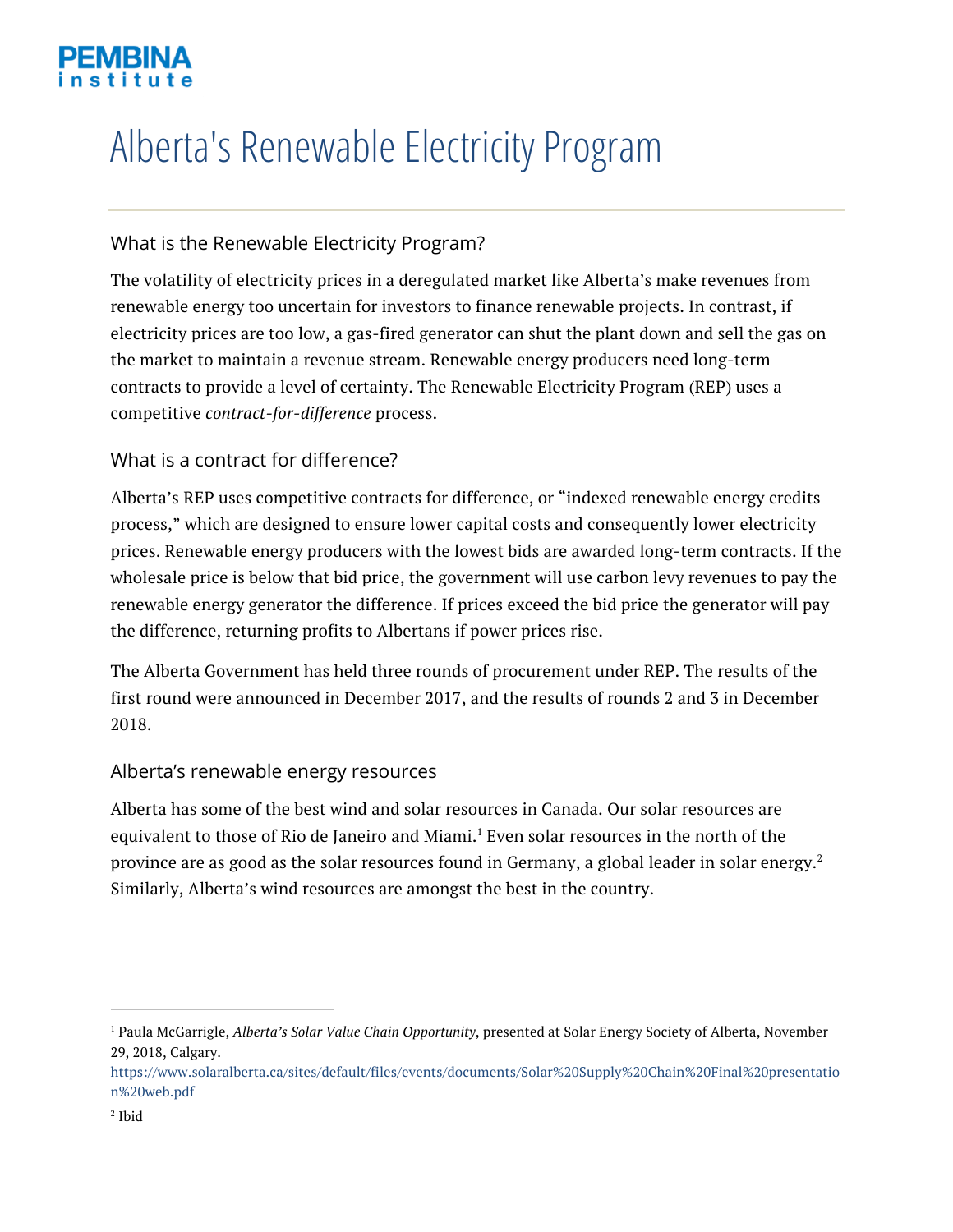

# Alberta's Renewable Electricity Program

## What is the Renewable Electricity Program?

The volatility of electricity prices in a deregulated market like Alberta's make revenues from renewable energy too uncertain for investors to finance renewable projects. In contrast, if electricity prices are too low, a gas-fired generator can shut the plant down and sell the gas on the market to maintain a revenue stream. Renewable energy producers need long-term contracts to provide a level of certainty. The Renewable Electricity Program (REP) uses a competitive *contract-for-difference* process.

## What is a contract for difference?

Alberta's REP uses competitive contracts for difference, or "indexed renewable energy credits process," which are designed to ensure lower capital costs and consequently lower electricity prices. Renewable energy producers with the lowest bids are awarded long-term contracts. If the wholesale price is below that bid price, the government will use carbon levy revenues to pay the renewable energy generator the difference. If prices exceed the bid price the generator will pay the difference, returning profits to Albertans if power prices rise.

The Alberta Government has held three rounds of procurement under REP. The results of the first round were announced in December 2017, and the results of rounds 2 and 3 in December 2018.

#### Alberta's renewable energy resources

Alberta has some of the best wind and solar resources in Canada. Our solar resources are equivalent to those of Rio de Janeiro and Miami.<sup>1</sup> Even solar resources in the north of the province are as good as the solar resources found in Germany, a global leader in solar energy.<sup>2</sup> Similarly, Alberta's wind resources are amongst the best in the country.

<sup>1</sup> Paula McGarrigle, *Alberta's Solar Value Chain Opportunity*, presented at Solar Energy Society of Alberta, November 29, 2018, Calgary.

https://www.solaralberta.ca/sites/default/files/events/documents/Solar%20Supply%20Chain%20Final%20presentatio n%20web.pdf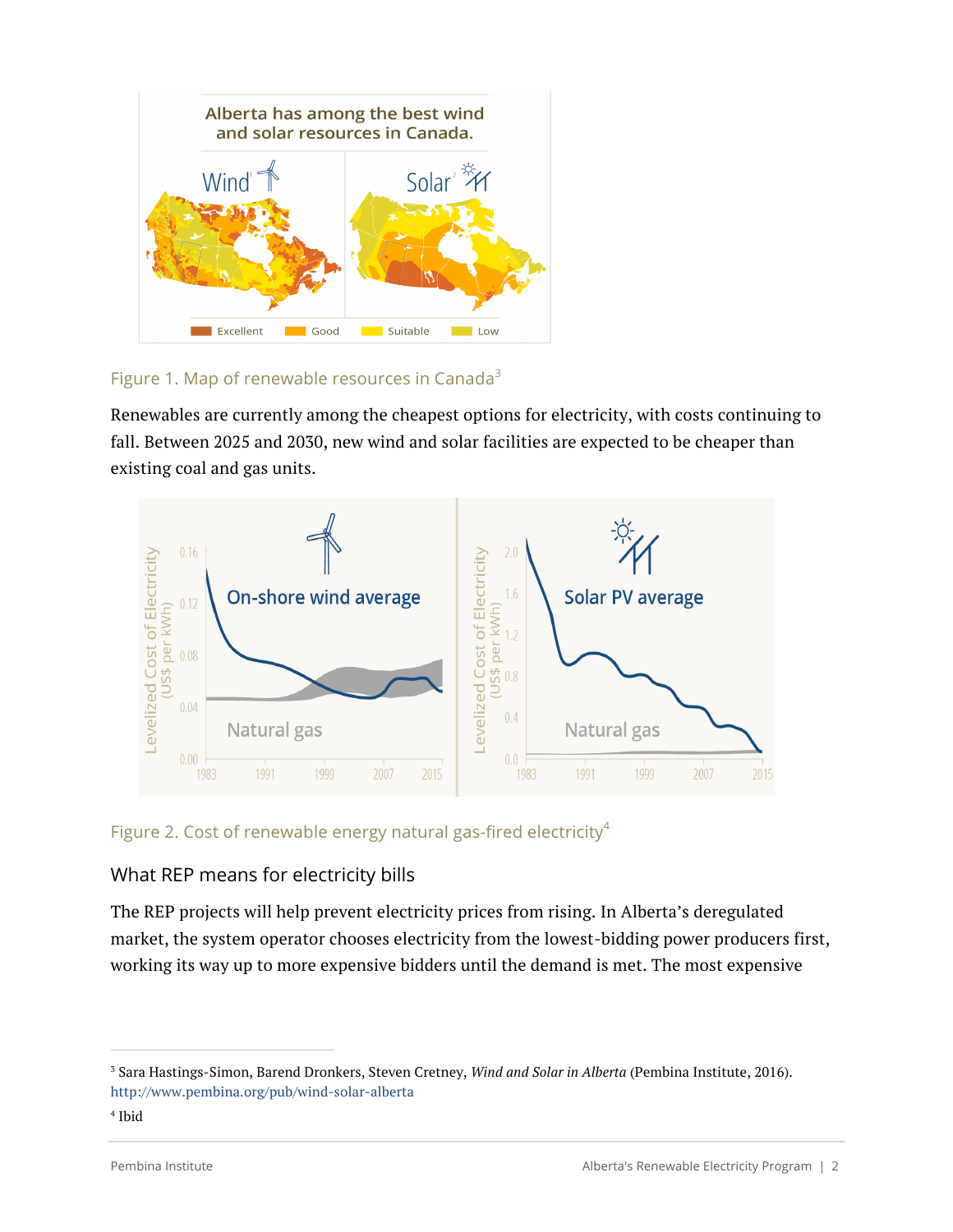

#### Figure 1. Map of renewable resources in Canada $3$

Renewables are currently among the cheapest options for electricity, with costs continuing to fall. Between 2025 and 2030, new wind and solar facilities are expected to be cheaper than existing coal and gas units.



Figure 2. Cost of renewable energy natural gas-fired electricity $4$ 

# What REP means for electricity bills

The REP projects will help prevent electricity prices from rising. In Alberta's deregulated market, the system operator chooses electricity from the lowest-bidding power producers first, working its way up to more expensive bidders until the demand is met. The most expensive

<sup>3</sup> Sara Hastings-Simon, Barend Dronkers, Steven Cretney, *Wind and Solar in Alberta* (Pembina Institute, 2016). http://www.pembina.org/pub/wind-solar-alberta

<sup>4</sup> Ibid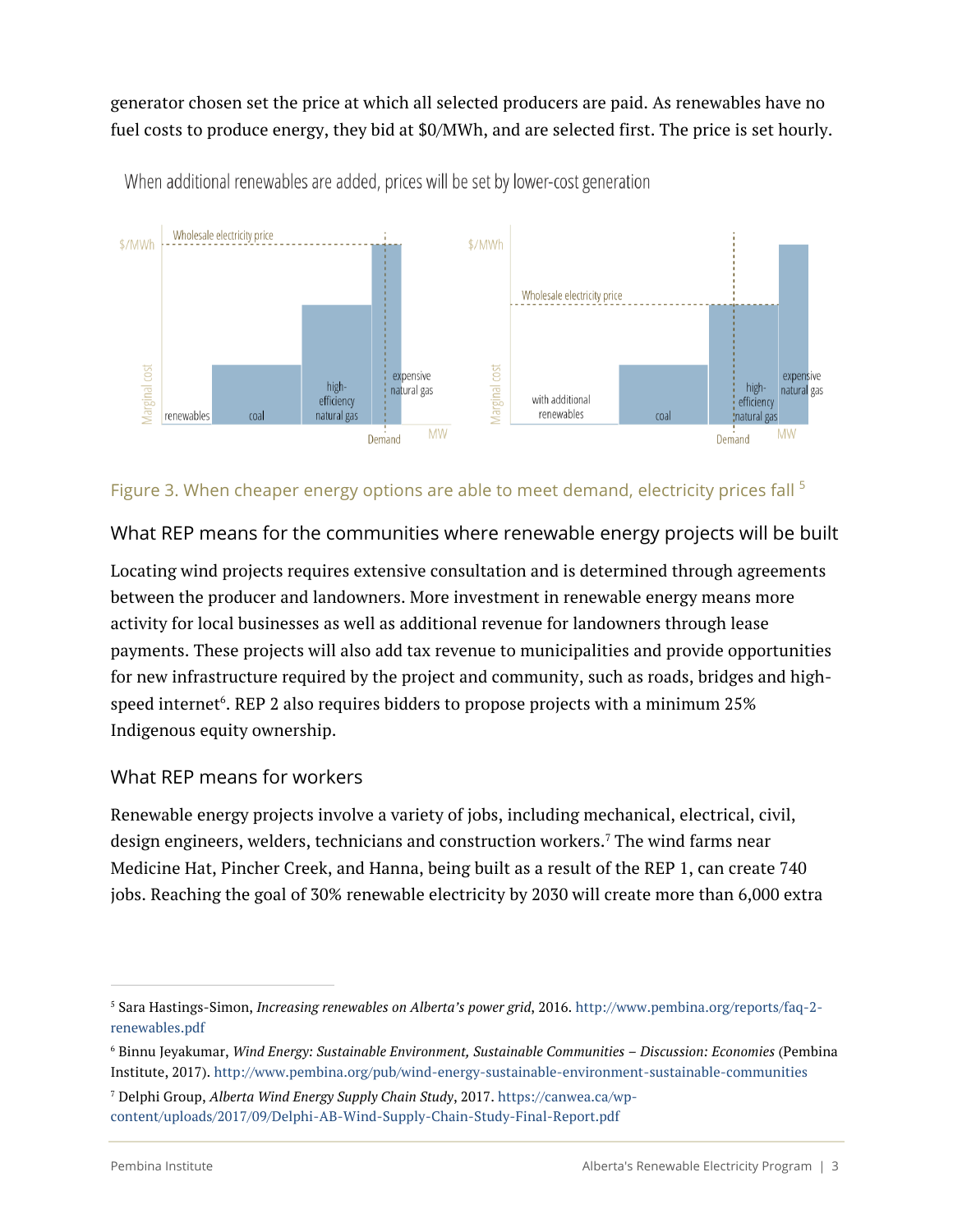generator chosen set the price at which all selected producers are paid. As renewables have no fuel costs to produce energy, they bid at \$0/MWh, and are selected first. The price is set hourly.



When additional renewables are added, prices will be set by lower-cost generation

#### Figure 3. When cheaper energy options are able to meet demand, electricity prices fall <sup>5</sup>

What REP means for the communities where renewable energy projects will be built

Locating wind projects requires extensive consultation and is determined through agreements between the producer and landowners. More investment in renewable energy means more activity for local businesses as well as additional revenue for landowners through lease payments. These projects will also add tax revenue to municipalities and provide opportunities for new infrastructure required by the project and community, such as roads, bridges and highspeed internet $6$ . REP 2 also requires bidders to propose projects with a minimum 25% Indigenous equity ownership.

#### What REP means for workers

Renewable energy projects involve a variety of jobs, including mechanical, electrical, civil, design engineers, welders, technicians and construction workers.7 The wind farms near Medicine Hat, Pincher Creek, and Hanna, being built as a result of the REP 1, can create 740 jobs. Reaching the goal of 30% renewable electricity by 2030 will create more than 6,000 extra

<sup>5</sup> Sara Hastings-Simon, *Increasing renewables on Alberta's power grid*, 2016. http://www.pembina.org/reports/faq-2 renewables.pdf

<sup>6</sup> Binnu Jeyakumar, *Wind Energy: Sustainable Environment, Sustainable Communities – Discussion: Economies* (Pembina Institute, 2017). http://www.pembina.org/pub/wind-energy-sustainable-environment-sustainable-communities

<sup>7</sup> Delphi Group, *Alberta Wind Energy Supply Chain Study*, 2017. https://canwea.ca/wpcontent/uploads/2017/09/Delphi-AB-Wind-Supply-Chain-Study-Final-Report.pdf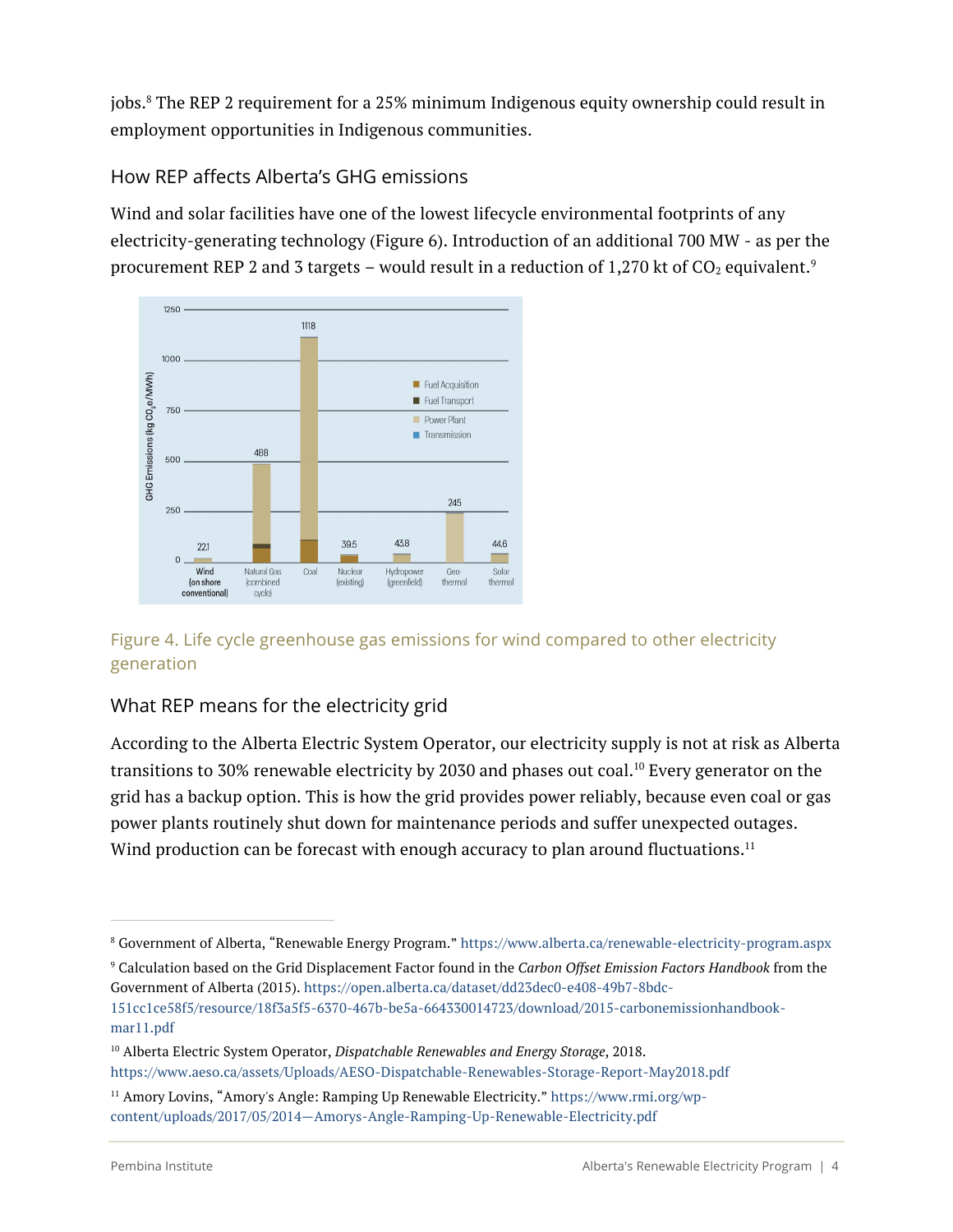jobs.<sup>8</sup> The REP 2 requirement for a 25% minimum Indigenous equity ownership could result in employment opportunities in Indigenous communities.

## How REP affects Alberta's GHG emissions

Wind and solar facilities have one of the lowest lifecycle environmental footprints of any electricity-generating technology (Figure 6). Introduction of an additional 700 MW - as per the procurement REP 2 and 3 targets – would result in a reduction of 1,270 kt of  $CO<sub>2</sub>$  equivalent.<sup>9</sup>



## Figure 4. Life cycle greenhouse gas emissions for wind compared to other electricity generation

# What REP means for the electricity grid

According to the Alberta Electric System Operator, our electricity supply is not at risk as Alberta transitions to 30% renewable electricity by 2030 and phases out coal.<sup>10</sup> Every generator on the grid has a backup option. This is how the grid provides power reliably, because even coal or gas power plants routinely shut down for maintenance periods and suffer unexpected outages. Wind production can be forecast with enough accuracy to plan around fluctuations. $^{\rm 11}$ 

<sup>8</sup> Government of Alberta, "Renewable Energy Program." https://www.alberta.ca/renewable-electricity-program.aspx

<sup>9</sup> Calculation based on the Grid Displacement Factor found in the *Carbon Offset Emission Factors Handbook* from the Government of Alberta (2015). https://open.alberta.ca/dataset/dd23dec0-e408-49b7-8bdc-151cc1ce58f5/resource/18f3a5f5-6370-467b-be5a-664330014723/download/2015-carbonemissionhandbookmar11.pdf

<sup>10</sup> Alberta Electric System Operator, *Dispatchable Renewables and Energy Storage*, 2018. https://www.aeso.ca/assets/Uploads/AESO-Dispatchable-Renewables-Storage-Report-May2018.pdf

 $11$  Amory Lovins, "Amory's Angle: Ramping Up Renewable Electricity." https://www.rmi.org/wpcontent/uploads/2017/05/2014—Amorys-Angle-Ramping-Up-Renewable-Electricity.pdf